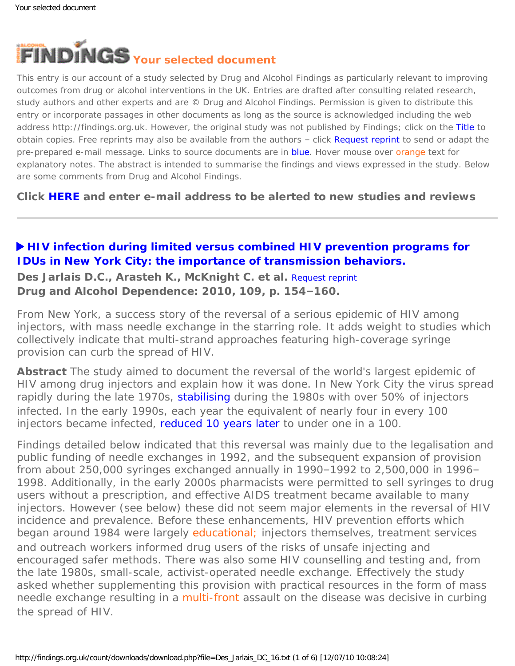<span id="page-0-0"></span>

This entry is our account of a study selected by Drug and Alcohol Findings as particularly relevant to improving outcomes from drug or alcohol interventions in the UK. Entries are drafted after consulting related research, study authors and other experts and are © Drug and Alcohol Findings. Permission is given to distribute this entry or incorporate passages in other documents as long as the source is acknowledged including the web address http://findings.org.uk. However, the original study was not published by Findings; click on the Title to obtain copies. Free reprints may also be available from the authors - click Request reprint to send or adapt the pre-prepared e-mail message. Links to source documents are in blue. Hover mouse over orange text for explanatory notes. The abstract is intended to summarise the findings and views expressed in the study. Below are some comments from Drug and Alcohol Findings.

**Click [HERE](https://findings.org.uk/index.php#signUp) and enter e-mail address to be alerted to new studies and reviews**

## **[HIV infection during limited versus combined HIV prevention programs for](http://dx.doi.org/10.1016/j.drugalcdep.2009.12.028)  [IDUs in New York City: the importance of transmission behaviors.](http://dx.doi.org/10.1016/j.drugalcdep.2009.12.028)**

**Des Jarlais D.C., Arasteh K., McKnight C. et al.** [Request reprint](mailto:dcdesjarla@aol.com?Subject=Reprint%20request&body=Dear Dr Des Jarlais%0A%0AOn the Drug and Alcohol Findings web site (https://findings.org.uk) I read about your article:%0ADes Jarlais D.C., Arasteh K., McKnight C. et al. HIV infection during limited versus combined HIV prevention programs for IDUs in New York City: the importance of transmission behaviors. Drug and Alcohol Dependence: 2010, 109, p. 154-160.%0A%0AWould it be possible to for me to be sent a PDF reprint or the manuscript by return e-mail?%0A) **Drug and Alcohol Dependence: 2010, 109, p. 154–160.**

From New York, a success story of the reversal of a serious epidemic of HIV among injectors, with mass needle exchange in the starring role. It adds weight to studies which collectively indicate that multi-strand approaches featuring high-coverage syringe provision can curb the spread of HIV.

**Abstract** The study aimed to document the reversal of the world's largest epidemic of HIV among drug injectors and explain how it was done. In New York City the virus spread rapidly during the late 1970s, [stabilising](http://jama.ama-assn.org/cgi/content/abstract/261/7/1008) during the 1980s with over 50% of injectors infected. In the early 1990s, each year the equivalent of nearly four in every 100 injectors became infected, [reduced 10 years later](http://dx.doi.org/10.2105/AJPH.2003.036517) to under one in a 100.

Findings detailed below indicated that this reversal was mainly due to the legalisation and public funding of needle exchanges in 1992, and the subsequent expansion of provision from about 250,000 syringes exchanged annually in 1990–1992 to 2,500,000 in 1996– 1998. Additionally, in the early 2000s pharmacists were permitted to sell syringes to drug users without a prescription, and effective AIDS treatment became available to many injectors. However (see below) these did not seem major elements in the reversal of HIV incidence and prevalence. Before these enhancements, HIV prevention efforts which began around 1984 were largely [educational;](#page-0-0) injectors themselves, treatment services and outreach workers informed drug users of the risks of unsafe injecting and encouraged safer methods. There was also some HIV counselling and testing and, from the late 1980s, small-scale, activist-operated needle exchange. Effectively the study asked whether supplementing this provision with practical resources in the form of mass needle exchange resulting in a [multi-front](#page-0-0) assault on the disease was decisive in curbing the spread of HIV.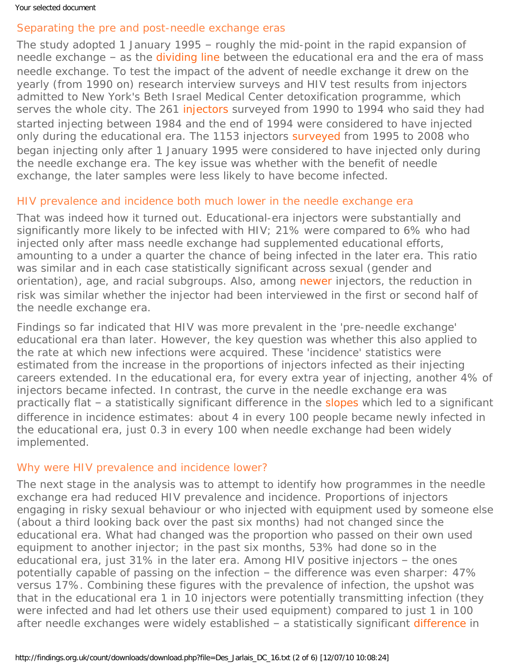# Separating the pre and post-needle exchange eras

The study adopted 1 January 1995 – roughly the mid-point in the rapid expansion of needle exchange – as the [dividing line](#page-0-0) between the educational era and the era of mass needle exchange. To test the impact of the advent of needle exchange it drew on the yearly (from 1990 on) research interview surveys and HIV test results from injectors admitted to New York's Beth Israel Medical Center detoxification programme, which serves the whole city. The 261 [injectors](#page-0-0) surveyed from 1990 to 1994 who said they had started injecting between 1984 and the end of 1994 were considered to have injected only during the educational era. The 1153 injectors [surveyed](#page-0-0) from 1995 to 2008 who began injecting only after 1 January 1995 were considered to have injected only during the needle exchange era. The key issue was whether with the benefit of needle exchange, the later samples were less likely to have become infected.

# HIV prevalence and incidence both much lower in the needle exchange era

That was indeed how it turned out. Educational-era injectors were substantially and significantly more likely to be infected with HIV; 21% were compared to 6% who had injected only after mass needle exchange had supplemented educational efforts, amounting to a under a quarter the chance of being infected in the later era. This ratio was similar and in each case statistically significant across sexual (gender and orientation), age, and racial subgroups. Also, among [newer](#page-0-0) injectors, the reduction in risk was similar whether the injector had been interviewed in the first or second half of the needle exchange era.

Findings so far indicated that HIV was more prevalent in the 'pre-needle exchange' educational era than later. However, the key question was whether this also applied to the rate at which new infections were acquired. These 'incidence' statistics were estimated from the increase in the proportions of injectors infected as their injecting careers extended. In the educational era, for every extra year of injecting, another 4% of injectors became infected. In contrast, the curve in the needle exchange era was practically flat – a statistically significant difference in the [slopes](#page-0-0) which led to a significant difference in incidence estimates: about 4 in every 100 people became newly infected in the educational era, just 0.3 in every 100 when needle exchange had been widely implemented.

### Why were HIV prevalence and incidence lower?

The next stage in the analysis was to attempt to identify *how* programmes in the needle exchange era had reduced HIV prevalence and incidence. Proportions of injectors engaging in risky sexual behaviour or who injected with equipment used by someone else (about a third looking back over the past six months) had not changed since the educational era. What *had* changed was the proportion who passed on their own used equipment to another injector; in the past six months, 53% had done so in the educational era, just 31% in the later era. Among HIV positive injectors – the ones potentially capable of passing on the infection – the difference was even sharper: 47% versus 17%. Combining these figures with the prevalence of infection, the upshot was that in the educational era 1 in 10 injectors were potentially transmitting infection (they were infected and had let others use their used equipment) compared to just 1 in 100 after needle exchanges were widely established - a statistically significant [difference](#page-0-0) in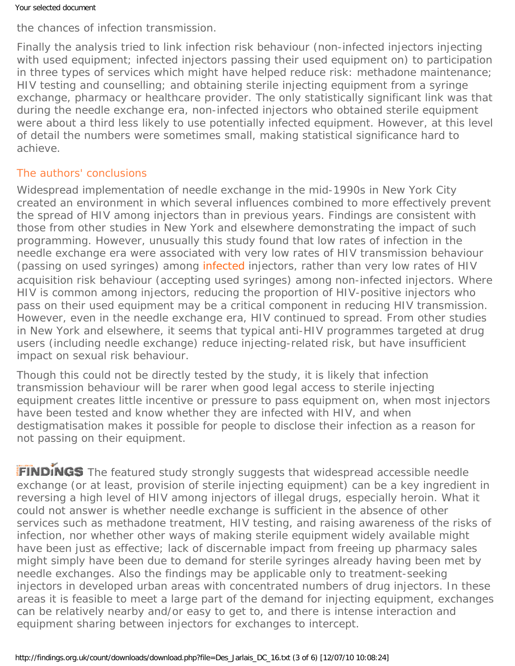the chances of infection transmission.

Finally the analysis tried to link infection risk behaviour (non-infected injectors injecting with used equipment; infected injectors passing their used equipment on) to participation in three types of services which might have helped reduce risk: methadone maintenance; HIV testing and counselling; and obtaining sterile injecting equipment from a syringe exchange, pharmacy or healthcare provider. The only statistically significant link was that during the needle exchange era, non-infected injectors who obtained sterile equipment were about a third less likely to use potentially infected equipment. However, at this level of detail the numbers were sometimes small, making statistical significance hard to achieve.

# The authors' conclusions

Widespread implementation of needle exchange in the mid-1990s in New York City created an environment in which several influences combined to more effectively prevent the spread of HIV among injectors than in previous years. Findings are consistent with those from other studies in New York and elsewhere demonstrating the impact of such programming. However, unusually this study found that low rates of infection in the needle exchange era were associated with very low rates of HIV transmission behaviour (passing on used syringes) among [infected](#page-0-0) injectors, rather than very low rates of HIV acquisition risk behaviour (accepting used syringes) among non-infected injectors. Where HIV is common among injectors, reducing the proportion of HIV-positive injectors who pass on their used equipment may be a critical component in reducing HIV transmission. However, even in the needle exchange era, HIV continued to spread. From other studies in New York and elsewhere, it seems that typical anti-HIV programmes targeted at drug users (including needle exchange) reduce injecting-related risk, but have insufficient impact on sexual risk behaviour.

Though this could not be directly tested by the study, it is likely that infection transmission behaviour will be rarer when good legal access to sterile injecting equipment creates little incentive or pressure to pass equipment on, when most injectors have been tested and know whether they are infected with HIV, and when destigmatisation makes it possible for people to disclose their infection as a reason for not passing on their equipment.

FINDINGS The featured study strongly suggests that widespread accessible needle exchange (or at least, provision of sterile injecting equipment) can be a key ingredient in reversing a high level of HIV among injectors of illegal drugs, especially heroin. What it could not answer is whether needle exchange is sufficient in the absence of other services such as methadone treatment, HIV testing, and raising awareness of the risks of infection, nor whether other ways of making sterile equipment widely available might have been just as effective; lack of discernable impact from freeing up pharmacy sales might simply have been due to demand for sterile syringes already having been met by needle exchanges. Also the findings may be applicable only to treatment-seeking injectors in developed urban areas with concentrated numbers of drug injectors. In these areas it is feasible to meet a large part of the demand for injecting equipment, exchanges can be relatively nearby and/or easy to get to, and there is intense interaction and equipment sharing between injectors for exchanges to intercept.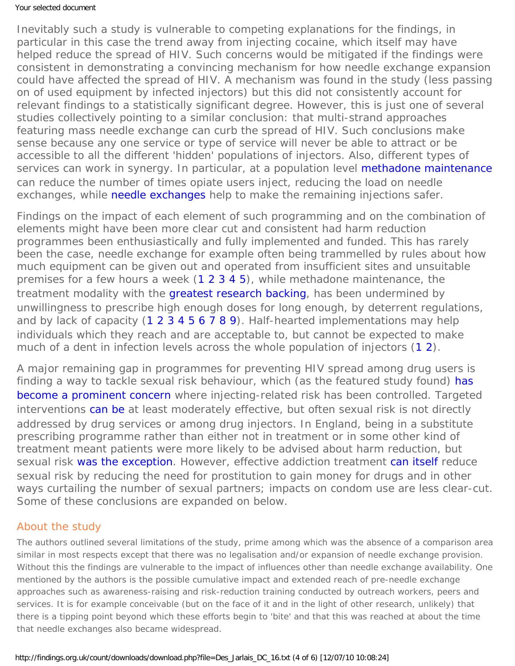Inevitably such a study is vulnerable to competing explanations for the findings, in particular in this case the trend away from injecting cocaine, which itself may have helped reduce the spread of HIV. Such concerns would be mitigated if the findings were consistent in demonstrating a convincing mechanism for how needle exchange expansion could have affected the spread of HIV. A mechanism was found in the study (less passing on of used equipment by infected injectors) but this did not consistently account for relevant findings to a statistically significant degree. However, this is just one of several studies collectively pointing to a similar conclusion: that multi-strand approaches featuring mass needle exchange can curb the spread of HIV. Such conclusions make sense because any one service or type of service will never be able to attract or be accessible to all the different 'hidden' populations of injectors. Also, different types of services can work in synergy. In particular, at a population level [methadone maintenance](https://findings.org.uk/count/downloads/download.php?file=Gowing_L_12.txt) can reduce the number of times opiate users inject, reducing the load on needle exchanges, while [needle exchanges](https://findings.org.uk/count/downloads/download.php?file=Ashton_M_18.pdf) help to make the remaining injections safer.

Findings on the impact of each element of such programming and on the combination of elements might have been more clear cut and consistent had harm reduction programmes been enthusiastically and fully implemented and funded. This has rarely been the case, needle exchange for example often being trammelled by rules about how much equipment can be given out and operated from insufficient sites and unsuitable premises for a few hours a week [\(1](https://findings.org.uk/count/downloads/download.php?file=NICE_8.txt) [2](https://findings.org.uk/count/downloads/download.php?file=ACMD_5.txt) [3](https://findings.org.uk/count/downloads/download.php?file=Ashton_M_18.pdf) [4](https://findings.org.uk/count/downloads/download.php?file=abscess.nug) [5\)](https://findings.org.uk/count/downloads/download.php?file=coverage.nug), while methadone maintenance, the treatment modality with the [greatest research backing](http://dx.doi.org/10.1111/j.1360-0443.2010.03049.x), has been undermined by unwillingness to prescribe high enough doses for long enough, by deterrent regulations, and by lack of capacity [\(1](https://findings.org.uk/count/downloads/download.php?file=ACMD_5.txt) [2](https://findings.org.uk/count/downloads/download.php?file=Gowing_L_12.txt) [3](https://findings.org.uk/count/downloads/download.php?file=Bao_YP_1.txt) [4](https://findings.org.uk/count/downloads/download.php?file=nugg_11_2.pdf) [5](https://findings.org.uk/count/downloads/download.php?file=nug_5_9.pdf) [6](https://findings.org.uk/count/downloads/download.php?file=nug_2_1.pdf) [7](http://dx.doi.10.1136/jech.2005.037333) [8](http://dx.doi.org/10.1016/j.drugpo.2005.02.008) [9](http://dx.doi.org/10.1111/j.1360-0443.2004.00963.x)). Half-hearted implementations may help individuals which they reach and are acceptable to, but cannot be expected to make much of a dent in infection levels across the whole population of injectors [\(1](http://www.nap.edu/catalog.php?record_id=11731) [2](http://dx.doi.org/10.1111/j.1360-0443.2007.01761.x)).

A major remaining gap in programmes for preventing HIV spread among drug users is finding a way to tackle sexual risk behaviour, which (as the featured study found) has [become a prominent concern](http://www.nap.edu/catalog.php?record_id=11731) where injecting-related risk has been controlled. Targeted interventions [can be](http://dx.doi.org/10.1016/j.drugpo.2005.02.005) at least moderately effective, but often sexual risk is not directly addressed by drug services or among drug injectors. In England, being in a substitute prescribing programme rather than either not in treatment or in some other kind of treatment meant patients were more likely to be advised about harm reduction, but sexual risk [was the exception](http://www.nta.nhs.uk/uploads/nta_2006_harm_reduction_survey.pdf). However, effective addiction treatment [can itself](https://findings.org.uk/count/downloads/download.php?file=Gowing_L_12.txt) reduce sexual risk by reducing the need for prostitution to gain money for drugs and in other ways curtailing the number of sexual partners; impacts on condom use are less clear-cut. Some of these conclusions are expanded on below.

### About the study

The authors outlined several limitations of the study, prime among which was the absence of a comparison area similar in most respects except that there was no legalisation and/or expansion of needle exchange provision. Without this the findings are vulnerable to the impact of influences other than needle exchange availability. One mentioned by the authors is the possible cumulative impact and extended reach of pre-needle exchange approaches such as awareness-raising and risk-reduction training conducted by outreach workers, peers and services. It is for example conceivable (but on the face of it and in the light of other research, unlikely) that there is a tipping point beyond which these efforts begin to 'bite' and that this was reached at about the time that needle exchanges also became widespread.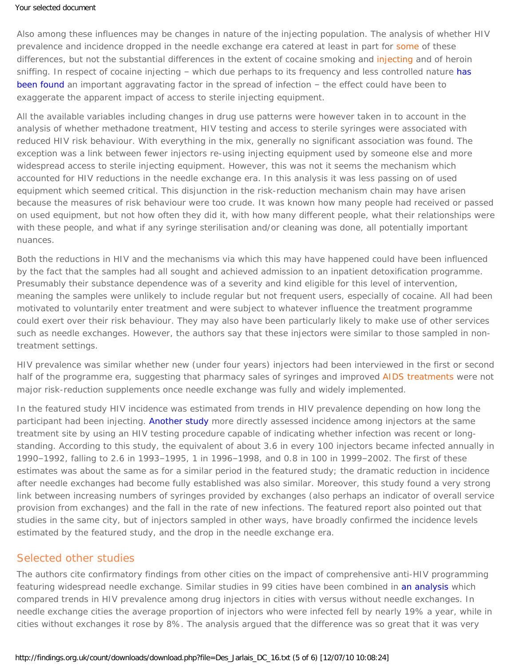Also among these influences may be changes in nature of the injecting population. The analysis of whether HIV prevalence and incidence dropped in the needle exchange era catered at least in part for [some](#page-0-0) of these differences, but not the substantial differences in the extent of cocaine smoking and [injecting](#page-0-0) and of heroin sniffing. In respect of cocaine injecting – which due perhaps to its frequency and less controlled nature has [been found](https://findings.org.uk/count/downloads/download.php?file=Ashton_M_15.pdf) an important aggravating factor in the spread of infection – the effect could have been to exaggerate the apparent impact of access to sterile injecting equipment.

All the available variables including changes in drug use patterns were however taken in to account in the analysis of whether methadone treatment, HIV testing and access to sterile syringes were associated with reduced HIV risk behaviour. With everything in the mix, generally no significant association was found. The exception was a link between fewer injectors re-using injecting equipment used by someone else and more widespread access to sterile injecting equipment. However, this was not it seems the mechanism which accounted for HIV reductions in the needle exchange era. In this analysis it was less *passing on* of used equipment which seemed critical. This disjunction in the risk-reduction mechanism chain may have arisen because the measures of risk behaviour were too crude. It was known how many people had received or passed on used equipment, but not how often they did it, with how many different people, what their relationships were with these people, and what if any syringe sterilisation and/or cleaning was done, all potentially important nuances.

Both the reductions in HIV and the mechanisms via which this may have happened could have been influenced by the fact that the samples had all sought and achieved admission to an inpatient detoxification programme. Presumably their substance dependence was of a severity and kind eligible for this level of intervention, meaning the samples were unlikely to include regular but not frequent users, especially of cocaine. All had been motivated to voluntarily enter treatment and were subject to whatever influence the treatment programme could exert over their risk behaviour. They may also have been particularly likely to make use of other services such as needle exchanges. However, the authors say that these injectors were similar to those sampled in nontreatment settings.

HIV prevalence was similar whether new (under four years) injectors had been interviewed in the first or second half of the programme era, suggesting that pharmacy sales of syringes and improved [AIDS treatments](#page-0-0) were not major risk-reduction supplements once needle exchange was fully and widely implemented.

In the featured study HIV incidence was estimated from trends in HIV prevalence depending on how long the participant had been injecting. [Another study](http://dx.doi.org/10.2105/AJPH.2003.036517) more directly assessed incidence among injectors at the same treatment site by using an HIV testing procedure capable of indicating whether infection was recent or longstanding. According to this study, the equivalent of about 3.6 in every 100 injectors became infected annually in 1990–1992, falling to 2.6 in 1993–1995, 1 in 1996–1998, and 0.8 in 100 in 1999–2002. The first of these estimates was about the same as for a similar period in the featured study; the dramatic reduction in incidence after needle exchanges had become fully established was also similar. Moreover, this study found a very strong link between increasing numbers of syringes provided by exchanges (also perhaps an indicator of overall service provision from exchanges) and the fall in the rate of new infections. The featured report also pointed out that studies in the same city, but of injectors sampled in other ways, have broadly confirmed the incidence levels estimated by the featured study, and the drop in the needle exchange era.

### Selected other studies

The authors cite confirmatory findings from other cities on the impact of comprehensive anti-HIV programming featuring widespread needle exchange. Similar studies in 99 cities have been combined in [an analysis](http://dx.doi.org/10.1016/S0955-3959(03)00133-6) which compared trends in HIV prevalence among drug injectors in cities with versus without needle exchanges. In needle exchange cities the average proportion of injectors who were infected fell by nearly 19% a year, while in cities without exchanges it rose by 8%. The analysis argued that the difference was so great that it was very